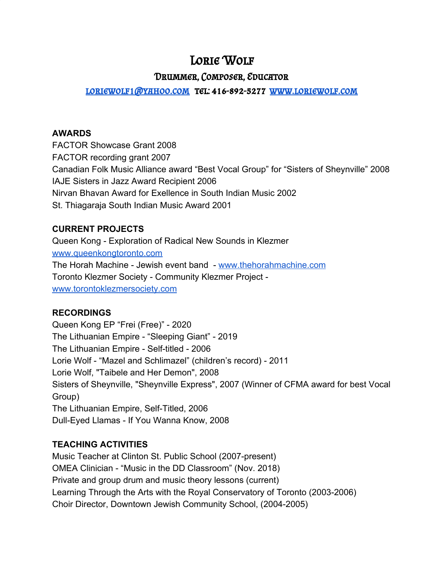# LORIE WOLF

## Drummer, Composer, Educator

## [loriewolf1@yahoo.com](mailto:loriewolf1@yahoo.com) tel: 416-892-5277 [www.loriewolf.com](http://www.loriewolf.com/)

#### **AWARDS**

FACTOR Showcase Grant 2008 FACTOR recording grant 2007 Canadian Folk Music Alliance award "Best Vocal Group" for "Sisters of Sheynville" 2008 IAJE Sisters in Jazz Award Recipient 2006 Nirvan Bhavan Award for Exellence in South Indian Music 2002 St. Thiagaraja South Indian Music Award 2001

### **CURRENT PROJECTS**

Queen Kong - Exploration of Radical New Sounds in Klezmer [www.queenkongtoronto.com](http://www.queenkongtoronto.com/) The Horah Machine - Jewish event band - [www.thehorahmachine.com](http://www.thehorahmachine.com/) Toronto Klezmer Society - Community Klezmer Project [www.torontoklezmersociety.com](http://www.torontoklezmersociety.com/)

## **RECORDINGS**

Queen Kong EP "Frei (Free)" - 2020 The Lithuanian Empire - "Sleeping Giant" - 2019 The Lithuanian Empire - Self-titled - 2006 Lorie Wolf - "Mazel and Schlimazel" (children's record) - 2011 Lorie Wolf, "Taibele and Her Demon", 2008 Sisters of Sheynville, "Sheynville Express", 2007 (Winner of CFMA award for best Vocal Group) The Lithuanian Empire, Self-Titled, 2006 Dull-Eyed Llamas - If You Wanna Know, 2008

## **TEACHING ACTIVITIES**

Music Teacher at Clinton St. Public School (2007-present) OMEA Clinician - "Music in the DD Classroom" (Nov. 2018) Private and group drum and music theory lessons (current) Learning Through the Arts with the Royal Conservatory of Toronto (2003-2006) Choir Director, Downtown Jewish Community School, (2004-2005)